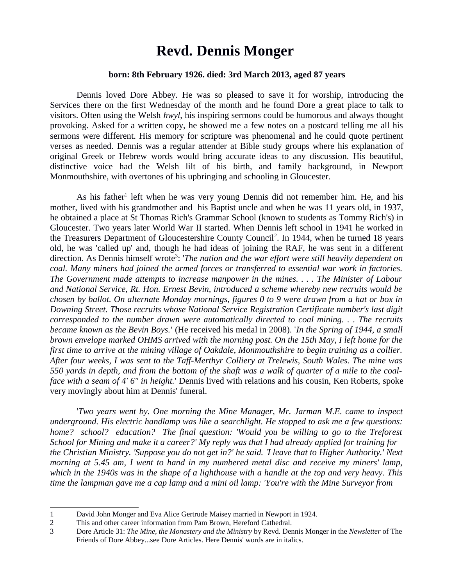# **Revd. Dennis Monger**

## **born: 8th February 1926. died: 3rd March 2013, aged 87 years**

Dennis loved Dore Abbey. He was so pleased to save it for worship, introducing the Services there on the first Wednesday of the month and he found Dore a great place to talk to visitors. Often using the Welsh *hwyl*, his inspiring sermons could be humorous and always thought provoking. Asked for a written copy, he showed me a few notes on a postcard telling me all his sermons were different. His memory for scripture was phenomenal and he could quote pertinent verses as needed. Dennis was a regular attender at Bible study groups where his explanation of original Greek or Hebrew words would bring accurate ideas to any discussion. His beautiful, distinctive voice had the Welsh lilt of his birth, and family background, in Newport Monmouthshire, with overtones of his upbringing and schooling in Gloucester.

As his father<sup>[1](#page-0-0)</sup> left when he was very young Dennis did not remember him. He, and his mother, lived with his grandmother and his Baptist uncle and when he was 11 years old, in 1937, he obtained a place at St Thomas Rich's Grammar School (known to students as Tommy Rich's) in Gloucester. Two years later World War II started. When Dennis left school in 1941 he worked in the Treasurers Department of Gloucestershire County Council<sup>[2](#page-0-1)</sup>. In 1944, when he turned 18 years old, he was 'called up' and, though he had ideas of joining the RAF, he was sent in a different direction. As Dennis himself wrote<sup>[3](#page-0-2)</sup>: 'The nation and the war effort were still heavily dependent on *coal. Many miners had joined the armed forces or transferred to essential war work in factories. The Government made attempts to increase manpower in the mines. . . . The Minister of Labour and National Service, Rt. Hon. Ernest Bevin, introduced a scheme whereby new recruits would be chosen by ballot. On alternate Monday mornings, figures 0 to 9 were drawn from a hat or box in Downing Street. Those recruits whose National Service Registration Certificate number's last digit corresponded to the number drawn were automatically directed to coal mining. . . The recruits became known as the Bevin Boys.'* (He received his medal in 2008). '*In the Spring of 1944, a small brown envelope marked OHMS arrived with the morning post. On the 15th May, I left home for the first time to arrive at the mining village of Oakdale, Monmouthshire to begin training as a collier. After four weeks, I was sent to the Taff-Merthyr Colliery at Trelewis, South Wales. The mine was 550 yards in depth, and from the bottom of the shaft was a walk of quarter of a mile to the coalface with a seam of 4' 6" in height.*' Dennis lived with relations and his cousin, Ken Roberts, spoke very movingly about him at Dennis' funeral.

'*Two years went by. One morning the Mine Manager, Mr. Jarman M.E. came to inspect underground. His electric handlamp was like a searchlight. He stopped to ask me a few questions: home? school? education? The final question: 'Would you be willing to go to the Treforest School for Mining and make it a career?' My reply was that I had already applied for training for the Christian Ministry. 'Suppose you do not get in?' he said. 'I leave that to Higher Authority.' Next morning at 5.45 am, I went to hand in my numbered metal disc and receive my miners' lamp, which in the 1940s was in the shape of a lighthouse with a handle at the top and very heavy. This time the lampman gave me a cap lamp and a mini oil lamp: 'You're with the Mine Surveyor from*

<span id="page-0-0"></span><sup>1</sup> David John Monger and Eva Alice Gertrude Maisey married in Newport in 1924.

<span id="page-0-1"></span><sup>2</sup> This and other career information from Pam Brown, Hereford Cathedral.

<span id="page-0-2"></span><sup>3</sup> Dore Article 31: *The Mine, the Monastery and the Ministry* by Revd. Dennis Monger in the *Newsletter* of The Friends of Dore Abbey...see Dore Articles. Here Dennis' words are in italics.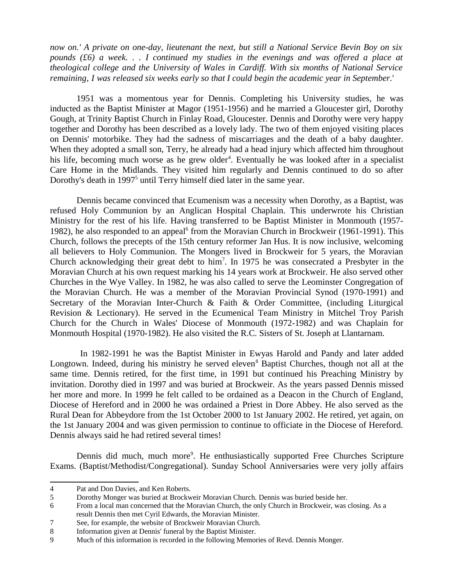*now on.' A private on one-day, lieutenant the next, but still a National Service Bevin Boy on six pounds (£6) a week. . . I continued my studies in the evenings and was offered a place at theological college and the University of Wales in Cardiff. With six months of National Service remaining, I was released six weeks early so that I could begin the academic year in September.*'

1951 was a momentous year for Dennis. Completing his University studies, he was inducted as the Baptist Minister at Magor (1951-1956) and he married a Gloucester girl, Dorothy Gough, at Trinity Baptist Church in Finlay Road, Gloucester. Dennis and Dorothy were very happy together and Dorothy has been described as a lovely lady. The two of them enjoyed visiting places on Dennis' motorbike. They had the sadness of miscarriages and the death of a baby daughter. When they adopted a small son, Terry, he already had a head injury which affected him throughout his life, becoming much worse as he grew older<sup>[4](#page-1-0)</sup>. Eventually he was looked after in a specialist Care Home in the Midlands. They visited him regularly and Dennis continued to do so after Dorothy's death in 1997<sup>[5](#page-1-1)</sup> until Terry himself died later in the same year.

Dennis became convinced that Ecumenism was a necessity when Dorothy, as a Baptist, was refused Holy Communion by an Anglican Hospital Chaplain. This underwrote his Christian Ministry for the rest of his life. Having transferred to be Baptist Minister in Monmouth (1957- 1982), he also responded to an appeal<sup>[6](#page-1-2)</sup> from the Moravian Church in Brockweir (1961-1991). This Church, follows the precepts of the 15th century reformer Jan Hus. It is now inclusive, welcoming all believers to Holy Communion. The Mongers lived in Brockweir for 5 years, the Moravian Church acknowledging their great debt to  $\text{him}^7$  $\text{him}^7$ . In 1975 he was consecrated a Presbyter in the Moravian Church at his own request marking his 14 years work at Brockweir. He also served other Churches in the Wye Valley. In 1982, he was also called to serve the Leominster Congregation of the Moravian Church. He was a member of the Moravian Provincial Synod (1970-1991) and Secretary of the Moravian Inter-Church & Faith & Order Committee, (including Liturgical Revision & Lectionary). He served in the Ecumenical Team Ministry in Mitchel Troy Parish Church for the Church in Wales' Diocese of Monmouth (1972-1982) and was Chaplain for Monmouth Hospital (1970-1982). He also visited the R.C. Sisters of St. Joseph at Llantarnam.

 In 1982-1991 he was the Baptist Minister in Ewyas Harold and Pandy and later added Longtown. Indeed, during his ministry he served eleven<sup>[8](#page-1-4)</sup> Baptist Churches, though not all at the same time. Dennis retired, for the first time, in 1991 but continued his Preaching Ministry by invitation. Dorothy died in 1997 and was buried at Brockweir. As the years passed Dennis missed her more and more. In 1999 he felt called to be ordained as a Deacon in the Church of England, Diocese of Hereford and in 2000 he was ordained a Priest in Dore Abbey. He also served as the Rural Dean for Abbeydore from the 1st October 2000 to 1st January 2002. He retired, yet again, on the 1st January 2004 and was given permission to continue to officiate in the Diocese of Hereford. Dennis always said he had retired several times!

Dennis did much, much more<sup>[9](#page-1-5)</sup>. He enthusiastically supported Free Churches Scripture Exams. (Baptist/Methodist/Congregational). Sunday School Anniversaries were very jolly affairs

<span id="page-1-0"></span><sup>4</sup> Pat and Don Davies, and Ken Roberts.

<span id="page-1-1"></span><sup>5</sup> Dorothy Monger was buried at Brockweir Moravian Church. Dennis was buried beside her.

<span id="page-1-2"></span><sup>6</sup> From a local man concerned that the Moravian Church, the only Church in Brockweir, was closing. As a result Dennis then met Cyril Edwards, the Moravian Minister.

<span id="page-1-3"></span><sup>7</sup> See, for example, the website of Brockweir Moravian Church.

<span id="page-1-4"></span><sup>8</sup> Information given at Dennis' funeral by the Baptist Minister.

<span id="page-1-5"></span><sup>9</sup> Much of this information is recorded in the following Memories of Revd. Dennis Monger.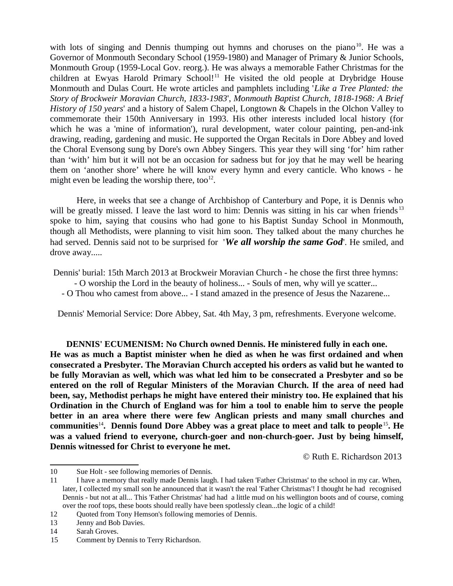with lots of singing and Dennis thumping out hymns and choruses on the piano<sup>[10](#page-2-0)</sup>. He was a Governor of Monmouth Secondary School (1959-1980) and Manager of Primary & Junior Schools, Monmouth Group (1959-Local Gov. reorg.). He was always a memorable Father Christmas for the children at Ewyas Harold Primary School!<sup>[11](#page-2-1)</sup> He visited the old people at Drybridge House Monmouth and Dulas Court. He wrote articles and pamphlets including '*Like a Tree Planted: the Story of Brockweir Moravian Church, 1833-1983*', *Monmouth Baptist Church, 1818-1968: A Brief History of 150 years*' and a history of Salem Chapel, Longtown & Chapels in the Olchon Valley to commemorate their 150th Anniversary in 1993. His other interests included local history (for which he was a 'mine of information'), rural development, water colour painting, pen-and-ink drawing, reading, gardening and music. He supported the Organ Recitals in Dore Abbey and loved the Choral Evensong sung by Dore's own Abbey Singers. This year they will sing 'for' him rather than 'with' him but it will not be an occasion for sadness but for joy that he may well be hearing them on 'another shore' where he will know every hymn and every canticle. Who knows - he might even be leading the worship there, too $^{12}$  $^{12}$  $^{12}$ .

Here, in weeks that see a change of Archbishop of Canterbury and Pope, it is Dennis who will be greatly missed. I leave the last word to him: Dennis was sitting in his car when friends<sup>[13](#page-2-3)</sup> spoke to him, saying that cousins who had gone to his Baptist Sunday School in Monmouth, though all Methodists, were planning to visit him soon. They talked about the many churches he had served. Dennis said not to be surprised for '*We all worship the same God*'. He smiled, and drove away.....

Dennis' burial: 15th March 2013 at Brockweir Moravian Church - he chose the first three hymns:

- O worship the Lord in the beauty of holiness... - Souls of men, why will ye scatter...

- O Thou who camest from above... - I stand amazed in the presence of Jesus the Nazarene...

Dennis' Memorial Service: Dore Abbey, Sat. 4th May, 3 pm, refreshments. Everyone welcome.

**DENNIS' ECUMENISM: No Church owned Dennis. He ministered fully in each one. He was as much a Baptist minister when he died as when he was first ordained and when consecrated a Presbyter. The Moravian Church accepted his orders as valid but he wanted to be fully Moravian as well, which was what led him to be consecrated a Presbyter and so be entered on the roll of Regular Ministers of the Moravian Church. If the area of need had been, say, Methodist perhaps he might have entered their ministry too. He explained that his Ordination in the Church of England was for him a tool to enable him to serve the people better in an area where there were few Anglican priests and many small churches and communities**[14](#page-2-4)**. Dennis found Dore Abbey was a great place to meet and talk to people**[15](#page-2-5)**. He was a valued friend to everyone, church-goer and non-church-goer. Just by being himself, Dennis witnessed for Christ to everyone he met.**

© Ruth E. Richardson 2013

<span id="page-2-0"></span><sup>10</sup> Sue Holt - see following memories of Dennis.

<span id="page-2-1"></span><sup>11</sup> I have a memory that really made Dennis laugh. I had taken 'Father Christmas' to the school in my car. When, later, I collected my small son he announced that it wasn't the real 'Father Christmas'! I thought he had recognised Dennis - but not at all... This 'Father Christmas' had had a little mud on his wellington boots and of course, coming over the roof tops, these boots should really have been spotlessly clean...the logic of a child!

<span id="page-2-2"></span><sup>12</sup> Quoted from Tony Hemson's following memories of Dennis.

<span id="page-2-3"></span><sup>13</sup> Jenny and Bob Davies.

<span id="page-2-4"></span><sup>14</sup> Sarah Groves.

<span id="page-2-5"></span><sup>15</sup> Comment by Dennis to Terry Richardson.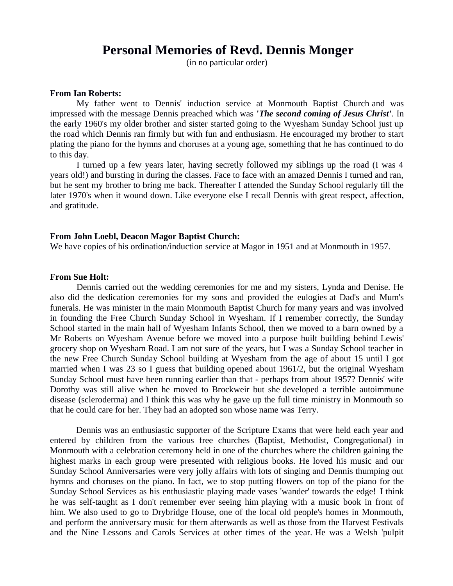## **Personal Memories of Revd. Dennis Monger**

(in no particular order)

## **From Ian Roberts:**

My father went to Dennis' induction service at Monmouth Baptist Church and was impressed with the message Dennis preached which was **'***The second coming of Jesus Christ***'**. In the early 1960's my older brother and sister started going to the Wyesham Sunday School just up the road which Dennis ran firmly but with fun and enthusiasm. He encouraged my brother to start plating the piano for the hymns and choruses at a young age, something that he has continued to do to this day.

I turned up a few years later, having secretly followed my siblings up the road (I was 4 years old!) and bursting in during the classes. Face to face with an amazed Dennis I turned and ran, but he sent my brother to bring me back. Thereafter I attended the Sunday School regularly till the later 1970's when it wound down. Like everyone else I recall Dennis with great respect, affection, and gratitude.

## **From John Loebl, Deacon Magor Baptist Church:**

We have copies of his ordination/induction service at Magor in 1951 and at Monmouth in 1957.

#### **From Sue Holt:**

Dennis carried out the wedding ceremonies for me and my sisters, Lynda and Denise. He also did the dedication ceremonies for my sons and provided the eulogies at Dad's and Mum's funerals. He was minister in the main Monmouth Baptist Church for many years and was involved in founding the Free Church Sunday School in Wyesham. If I remember correctly, the Sunday School started in the main hall of Wyesham Infants School, then we moved to a barn owned by a Mr Roberts on Wyesham Avenue before we moved into a purpose built building behind Lewis' grocery shop on Wyesham Road. I am not sure of the years, but I was a Sunday School teacher in the new Free Church Sunday School building at Wyesham from the age of about 15 until I got married when I was 23 so I guess that building opened about 1961/2, but the original Wyesham Sunday School must have been running earlier than that - perhaps from about 1957? Dennis' wife Dorothy was still alive when he moved to Brockweir but she developed a terrible autoimmune disease (scleroderma) and I think this was why he gave up the full time ministry in Monmouth so that he could care for her. They had an adopted son whose name was Terry.

Dennis was an enthusiastic supporter of the Scripture Exams that were held each year and entered by children from the various free churches (Baptist, Methodist, Congregational) in Monmouth with a celebration ceremony held in one of the churches where the children gaining the highest marks in each group were presented with religious books. He loved his music and our Sunday School Anniversaries were very jolly affairs with lots of singing and Dennis thumping out hymns and choruses on the piano. In fact, we to stop putting flowers on top of the piano for the Sunday School Services as his enthusiastic playing made vases 'wander' towards the edge! I think he was self-taught as I don't remember ever seeing him playing with a music book in front of him. We also used to go to Drybridge House, one of the local old people's homes in Monmouth, and perform the anniversary music for them afterwards as well as those from the Harvest Festivals and the Nine Lessons and Carols Services at other times of the year. He was a Welsh 'pulpit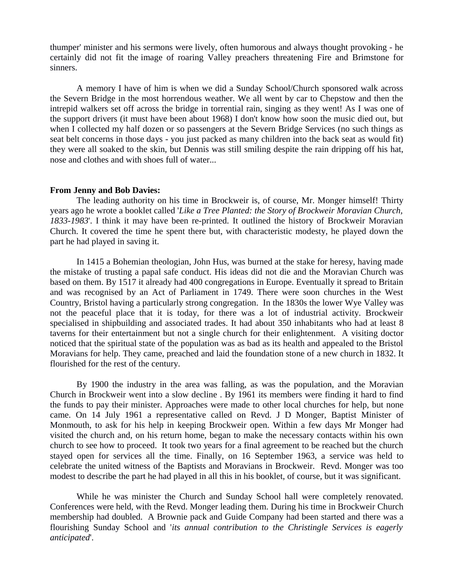thumper' minister and his sermons were lively, often humorous and always thought provoking - he certainly did not fit the image of roaring Valley preachers threatening Fire and Brimstone for sinners.

A memory I have of him is when we did a Sunday School/Church sponsored walk across the Severn Bridge in the most horrendous weather. We all went by car to Chepstow and then the intrepid walkers set off across the bridge in torrential rain, singing as they went! As I was one of the support drivers (it must have been about 1968) I don't know how soon the music died out, but when I collected my half dozen or so passengers at the Severn Bridge Services (no such things as seat belt concerns in those days - you just packed as many children into the back seat as would fit) they were all soaked to the skin, but Dennis was still smiling despite the rain dripping off his hat, nose and clothes and with shoes full of water...

## **From Jenny and Bob Davies:**

The leading authority on his time in Brockweir is, of course, Mr. Monger himself! Thirty years ago he wrote a booklet called '*Like a Tree Planted: the Story of Brockweir Moravian Church, 1833-1983*'. I think it may have been re-printed. It outlined the history of Brockweir Moravian Church. It covered the time he spent there but, with characteristic modesty, he played down the part he had played in saving it.

In 1415 a Bohemian theologian, John Hus, was burned at the stake for heresy, having made the mistake of trusting a papal safe conduct. His ideas did not die and the Moravian Church was based on them. By 1517 it already had 400 congregations in Europe. Eventually it spread to Britain and was recognised by an Act of Parliament in 1749. There were soon churches in the West Country, Bristol having a particularly strong congregation. In the 1830s the lower Wye Valley was not the peaceful place that it is today, for there was a lot of industrial activity. Brockweir specialised in shipbuilding and associated trades. It had about 350 inhabitants who had at least 8 taverns for their entertainment but not a single church for their enlightenment. A visiting doctor noticed that the spiritual state of the population was as bad as its health and appealed to the Bristol Moravians for help. They came, preached and laid the foundation stone of a new church in 1832. It flourished for the rest of the century.

By 1900 the industry in the area was falling, as was the population, and the Moravian Church in Brockweir went into a slow decline . By 1961 its members were finding it hard to find the funds to pay their minister. Approaches were made to other local churches for help, but none came. On 14 July 1961 a representative called on Revd. J D Monger, Baptist Minister of Monmouth, to ask for his help in keeping Brockweir open. Within a few days Mr Monger had visited the church and, on his return home, began to make the necessary contacts within his own church to see how to proceed. It took two years for a final agreement to be reached but the church stayed open for services all the time. Finally, on 16 September 1963, a service was held to celebrate the united witness of the Baptists and Moravians in Brockweir. Revd. Monger was too modest to describe the part he had played in all this in his booklet, of course, but it was significant.

While he was minister the Church and Sunday School hall were completely renovated. Conferences were held, with the Revd. Monger leading them. During his time in Brockweir Church membership had doubled. A Brownie pack and Guide Company had been started and there was a flourishing Sunday School and '*its annual contribution to the Christingle Services is eagerly anticipated*'.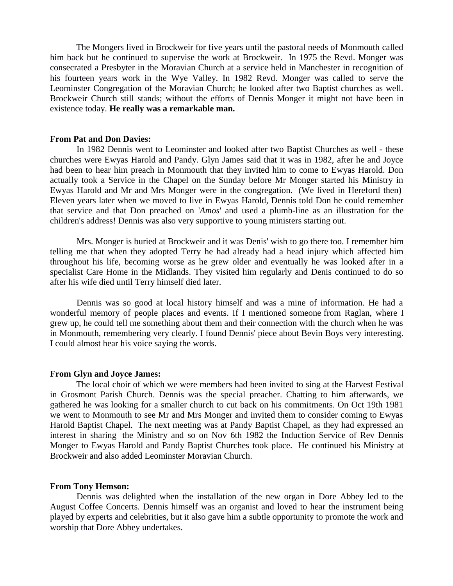The Mongers lived in Brockweir for five years until the pastoral needs of Monmouth called him back but he continued to supervise the work at Brockweir. In 1975 the Revd. Monger was consecrated a Presbyter in the Moravian Church at a service held in Manchester in recognition of his fourteen years work in the Wye Valley. In 1982 Revd. Monger was called to serve the Leominster Congregation of the Moravian Church; he looked after two Baptist churches as well. Brockweir Church still stands; without the efforts of Dennis Monger it might not have been in existence today. **He really was a remarkable man.**

## **From Pat and Don Davies:**

In 1982 Dennis went to Leominster and looked after two Baptist Churches as well - these churches were Ewyas Harold and Pandy. Glyn James said that it was in 1982, after he and Joyce had been to hear him preach in Monmouth that they invited him to come to Ewyas Harold. Don actually took a Service in the Chapel on the Sunday before Mr Monger started his Ministry in Ewyas Harold and Mr and Mrs Monger were in the congregation. (We lived in Hereford then) Eleven years later when we moved to live in Ewyas Harold, Dennis told Don he could remember that service and that Don preached on '*Amos*' and used a plumb-line as an illustration for the children's address! Dennis was also very supportive to young ministers starting out.

Mrs. Monger is buried at Brockweir and it was Denis' wish to go there too. I remember him telling me that when they adopted Terry he had already had a head injury which affected him throughout his life, becoming worse as he grew older and eventually he was looked after in a specialist Care Home in the Midlands. They visited him regularly and Denis continued to do so after his wife died until Terry himself died later.

Dennis was so good at local history himself and was a mine of information. He had a wonderful memory of people places and events. If I mentioned someone from Raglan, where I grew up, he could tell me something about them and their connection with the church when he was in Monmouth, remembering very clearly. I found Dennis' piece about Bevin Boys very interesting. I could almost hear his voice saying the words.

## **From Glyn and Joyce James:**

The local choir of which we were members had been invited to sing at the Harvest Festival in Grosmont Parish Church. Dennis was the special preacher. Chatting to him afterwards, we gathered he was looking for a smaller church to cut back on his commitments. On Oct 19th 1981 we went to Monmouth to see Mr and Mrs Monger and invited them to consider coming to Ewyas Harold Baptist Chapel. The next meeting was at Pandy Baptist Chapel, as they had expressed an interest in sharing the Ministry and so on Nov 6th 1982 the Induction Service of Rev Dennis Monger to Ewyas Harold and Pandy Baptist Churches took place. He continued his Ministry at Brockweir and also added Leominster Moravian Church.

#### **From Tony Hemson:**

Dennis was delighted when the installation of the new organ in Dore Abbey led to the August Coffee Concerts. Dennis himself was an organist and loved to hear the instrument being played by experts and celebrities, but it also gave him a subtle opportunity to promote the work and worship that Dore Abbey undertakes.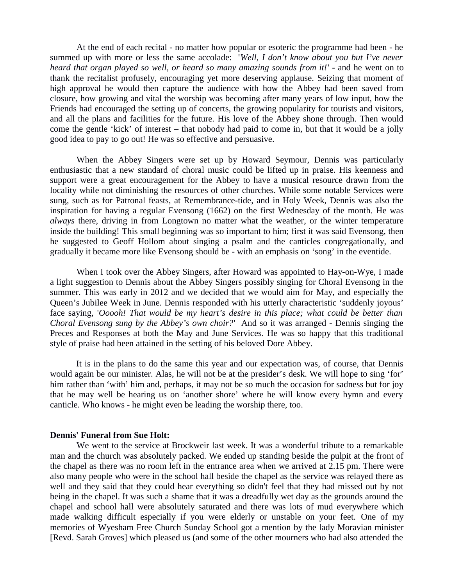At the end of each recital - no matter how popular or esoteric the programme had been - he summed up with more or less the same accolade: '*Well, I don't know about you but I've never heard that organ played so well, or heard so many amazing sounds from it!*' - and he went on to thank the recitalist profusely, encouraging yet more deserving applause. Seizing that moment of high approval he would then capture the audience with how the Abbey had been saved from closure, how growing and vital the worship was becoming after many years of low input, how the Friends had encouraged the setting up of concerts, the growing popularity for tourists and visitors, and all the plans and facilities for the future. His love of the Abbey shone through. Then would come the gentle 'kick' of interest – that nobody had paid to come in, but that it would be a jolly good idea to pay to go out! He was so effective and persuasive.

When the Abbey Singers were set up by Howard Seymour, Dennis was particularly enthusiastic that a new standard of choral music could be lifted up in praise. His keenness and support were a great encouragement for the Abbey to have a musical resource drawn from the locality while not diminishing the resources of other churches. While some notable Services were sung, such as for Patronal feasts, at Remembrance-tide, and in Holy Week, Dennis was also the inspiration for having a regular Evensong (1662) on the first Wednesday of the month. He was *always* there, driving in from Longtown no matter what the weather, or the winter temperature inside the building! This small beginning was so important to him; first it was said Evensong, then he suggested to Geoff Hollom about singing a psalm and the canticles congregationally, and gradually it became more like Evensong should be - with an emphasis on 'song' in the eventide.

When I took over the Abbey Singers, after Howard was appointed to Hay-on-Wye, I made a light suggestion to Dennis about the Abbey Singers possibly singing for Choral Evensong in the summer. This was early in 2012 and we decided that we would aim for May, and especially the Queen's Jubilee Week in June. Dennis responded with his utterly characteristic 'suddenly joyous' face saying, '*Ooooh! That would be my heart's desire in this place; what could be better than Choral Evensong sung by the Abbey's own choir?*' And so it was arranged - Dennis singing the Preces and Responses at both the May and June Services. He was so happy that this traditional style of praise had been attained in the setting of his beloved Dore Abbey.

It is in the plans to do the same this year and our expectation was, of course, that Dennis would again be our minister. Alas, he will not be at the presider's desk. We will hope to sing 'for' him rather than 'with' him and, perhaps, it may not be so much the occasion for sadness but for joy that he may well be hearing us on 'another shore' where he will know every hymn and every canticle. Who knows - he might even be leading the worship there, too.

## **Dennis' Funeral from Sue Holt:**

We went to the service at Brockweir last week. It was a wonderful tribute to a remarkable man and the church was absolutely packed. We ended up standing beside the pulpit at the front of the chapel as there was no room left in the entrance area when we arrived at 2.15 pm. There were also many people who were in the school hall beside the chapel as the service was relayed there as well and they said that they could hear everything so didn't feel that they had missed out by not being in the chapel. It was such a shame that it was a dreadfully wet day as the grounds around the chapel and school hall were absolutely saturated and there was lots of mud everywhere which made walking difficult especially if you were elderly or unstable on your feet. One of my memories of Wyesham Free Church Sunday School got a mention by the lady Moravian minister [Revd. Sarah Groves] which pleased us (and some of the other mourners who had also attended the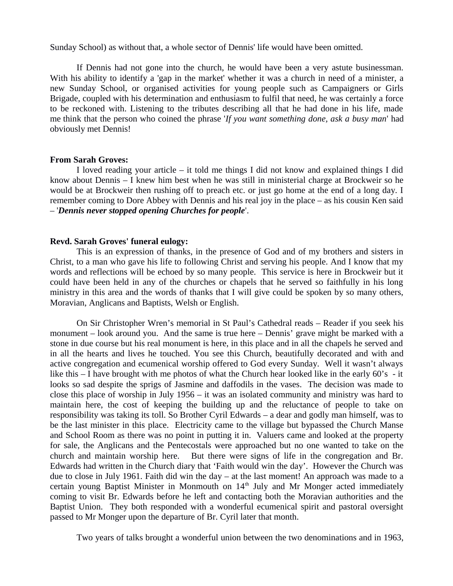Sunday School) as without that, a whole sector of Dennis' life would have been omitted.

If Dennis had not gone into the church, he would have been a very astute businessman. With his ability to identify a 'gap in the market' whether it was a church in need of a minister, a new Sunday School, or organised activities for young people such as Campaigners or Girls Brigade, coupled with his determination and enthusiasm to fulfil that need, he was certainly a force to be reckoned with. Listening to the tributes describing all that he had done in his life, made me think that the person who coined the phrase '*If you want something done, ask a busy man*' had obviously met Dennis!

## **From Sarah Groves:**

I loved reading your article – it told me things I did not know and explained things I did know about Dennis – I knew him best when he was still in ministerial charge at Brockweir so he would be at Brockweir then rushing off to preach etc. or just go home at the end of a long day. I remember coming to Dore Abbey with Dennis and his real joy in the place – as his cousin Ken said – '*Dennis never stopped opening Churches for people*'.

## **Revd. Sarah Groves' funeral eulogy:**

This is an expression of thanks, in the presence of God and of my brothers and sisters in Christ, to a man who gave his life to following Christ and serving his people. And I know that my words and reflections will be echoed by so many people. This service is here in Brockweir but it could have been held in any of the churches or chapels that he served so faithfully in his long ministry in this area and the words of thanks that I will give could be spoken by so many others, Moravian, Anglicans and Baptists, Welsh or English.

On Sir Christopher Wren's memorial in St Paul's Cathedral reads – Reader if you seek his monument – look around you. And the same is true here – Dennis' grave might be marked with a stone in due course but his real monument is here, in this place and in all the chapels he served and in all the hearts and lives he touched. You see this Church, beautifully decorated and with and active congregation and ecumenical worship offered to God every Sunday. Well it wasn't always like this – I have brought with me photos of what the Church hear looked like in the early 60's - it looks so sad despite the sprigs of Jasmine and daffodils in the vases. The decision was made to close this place of worship in July 1956 – it was an isolated community and ministry was hard to maintain here, the cost of keeping the building up and the reluctance of people to take on responsibility was taking its toll. So Brother Cyril Edwards – a dear and godly man himself, was to be the last minister in this place. Electricity came to the village but bypassed the Church Manse and School Room as there was no point in putting it in. Valuers came and looked at the property for sale, the Anglicans and the Pentecostals were approached but no one wanted to take on the church and maintain worship here. But there were signs of life in the congregation and Br. Edwards had written in the Church diary that 'Faith would win the day'. However the Church was due to close in July 1961. Faith did win the day – at the last moment! An approach was made to a certain young Baptist Minister in Monmouth on  $14<sup>th</sup>$  July and Mr Monger acted immediately coming to visit Br. Edwards before he left and contacting both the Moravian authorities and the Baptist Union. They both responded with a wonderful ecumenical spirit and pastoral oversight passed to Mr Monger upon the departure of Br. Cyril later that month.

Two years of talks brought a wonderful union between the two denominations and in 1963,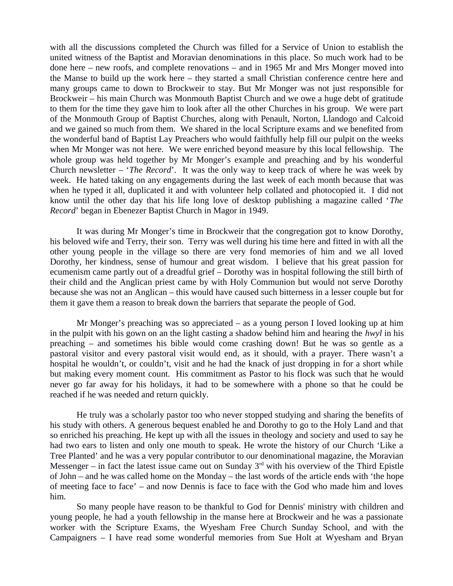with all the discussions completed the Church was filled for a Service of Union to establish the united witness of the Baptist and Moravian denominations in this place. So much work had to be done here – new roofs, and complete renovations – and in 1965 Mr and Mrs Monger moved into the Manse to build up the work here – they started a small Christian conference centre here and many groups came to down to Brockweir to stay. But Mr Monger was not just responsible for Brockweir – his main Church was Monmouth Baptist Church and we owe a huge debt of gratitude to them for the time they gave him to look after all the other Churches in his group. We were part of the Monmouth Group of Baptist Churches, along with Penault, Norton, Llandogo and Calcoid and we gained so much from them. We shared in the local Scripture exams and we benefited from the wonderful band of Baptist Lay Preachers who would faithfully help fill our pulpit on the weeks when Mr Monger was not here. We were enriched beyond measure by this local fellowship. The whole group was held together by Mr Monger's example and preaching and by his wonderful Church newsletter – '*The Record*'. It was the only way to keep track of where he was week by week. He hated taking on any engagements during the last week of each month because that was when he typed it all, duplicated it and with volunteer help collated and photocopied it. I did not know until the other day that his life long love of desktop publishing a magazine called '*The Record*' began in Ebenezer Baptist Church in Magor in 1949.

It was during Mr Monger's time in Brockweir that the congregation got to know Dorothy, his beloved wife and Terry, their son. Terry was well during his time here and fitted in with all the other young people in the village so there are very fond memories of him and we all loved Dorothy, her kindness, sense of humour and great wisdom. I believe that his great passion for ecumenism came partly out of a dreadful grief – Dorothy was in hospital following the still birth of their child and the Anglican priest came by with Holy Communion but would not serve Dorothy because she was not an Anglican – this would have caused such bitterness in a lesser couple but for them it gave them a reason to break down the barriers that separate the people of God.

Mr Monger's preaching was so appreciated – as a young person I loved looking up at him in the pulpit with his gown on an the light casting a shadow behind him and hearing the *hwyl* in his preaching – and sometimes his bible would come crashing down! But he was so gentle as a pastoral visitor and every pastoral visit would end, as it should, with a prayer. There wasn't a hospital he wouldn't, or couldn't, visit and he had the knack of just dropping in for a short while but making every moment count. His commitment as Pastor to his flock was such that he would never go far away for his holidays, it had to be somewhere with a phone so that he could be reached if he was needed and return quickly.

He truly was a scholarly pastor too who never stopped studying and sharing the benefits of his study with others. A generous bequest enabled he and Dorothy to go to the Holy Land and that so enriched his preaching. He kept up with all the issues in theology and society and used to say he had two ears to listen and only one mouth to speak. He wrote the history of our Church 'Like a Tree Planted' and he was a very popular contributor to our denominational magazine, the Moravian Messenger – in fact the latest issue came out on Sunday  $3<sup>rd</sup>$  with his overview of the Third Epistle of John – and he was called home on the Monday – the last words of the article ends with 'the hope of meeting face to face' – and now Dennis is face to face with the God who made him and loves him.

So many people have reason to be thankful to God for Dennis' ministry with children and young people, he had a youth fellowship in the manse here at Brockweir and he was a passionate worker with the Scripture Exams, the Wyesham Free Church Sunday School, and with the Campaigners – I have read some wonderful memories from Sue Holt at Wyesham and Bryan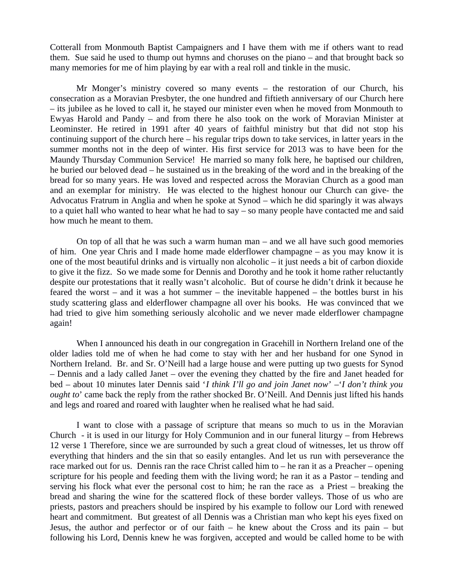Cotterall from Monmouth Baptist Campaigners and I have them with me if others want to read them. Sue said he used to thump out hymns and choruses on the piano – and that brought back so many memories for me of him playing by ear with a real roll and tinkle in the music.

Mr Monger's ministry covered so many events – the restoration of our Church, his consecration as a Moravian Presbyter, the one hundred and fiftieth anniversary of our Church here – its jubilee as he loved to call it, he stayed our minister even when he moved from Monmouth to Ewyas Harold and Pandy – and from there he also took on the work of Moravian Minister at Leominster. He retired in 1991 after 40 years of faithful ministry but that did not stop his continuing support of the church here – his regular trips down to take services, in latter years in the summer months not in the deep of winter. His first service for 2013 was to have been for the Maundy Thursday Communion Service! He married so many folk here, he baptised our children, he buried our beloved dead – he sustained us in the breaking of the word and in the breaking of the bread for so many years. He was loved and respected across the Moravian Church as a good man and an exemplar for ministry. He was elected to the highest honour our Church can give- the Advocatus Fratrum in Anglia and when he spoke at Synod – which he did sparingly it was always to a quiet hall who wanted to hear what he had to say – so many people have contacted me and said how much he meant to them.

On top of all that he was such a warm human man – and we all have such good memories of him. One year Chris and I made home made elderflower champagne – as you may know it is one of the most beautiful drinks and is virtually non alcoholic – it just needs a bit of carbon dioxide to give it the fizz. So we made some for Dennis and Dorothy and he took it home rather reluctantly despite our protestations that it really wasn't alcoholic. But of course he didn't drink it because he feared the worst  $-$  and it was a hot summer  $-$  the inevitable happened  $-$  the bottles burst in his study scattering glass and elderflower champagne all over his books. He was convinced that we had tried to give him something seriously alcoholic and we never made elderflower champagne again!

When I announced his death in our congregation in Gracehill in Northern Ireland one of the older ladies told me of when he had come to stay with her and her husband for one Synod in Northern Ireland. Br. and Sr. O'Neill had a large house and were putting up two guests for Synod – Dennis and a lady called Janet – over the evening they chatted by the fire and Janet headed for bed – about 10 minutes later Dennis said '*I think I'll go and join Janet now*' –'*I don't think you ought to*' came back the reply from the rather shocked Br. O'Neill. And Dennis just lifted his hands and legs and roared and roared with laughter when he realised what he had said.

I want to close with a passage of scripture that means so much to us in the Moravian Church - it is used in our liturgy for Holy Communion and in our funeral liturgy – from Hebrews 12 verse 1 Therefore, since we are surrounded by such a great cloud of witnesses, let us throw off everything that hinders and the sin that so easily entangles. And let us run with perseverance the race marked out for us. Dennis ran the race Christ called him to – he ran it as a Preacher – opening scripture for his people and feeding them with the living word; he ran it as a Pastor – tending and serving his flock what ever the personal cost to him; he ran the race as a Priest – breaking the bread and sharing the wine for the scattered flock of these border valleys. Those of us who are priests, pastors and preachers should be inspired by his example to follow our Lord with renewed heart and commitment. But greatest of all Dennis was a Christian man who kept his eyes fixed on Jesus, the author and perfector or of our faith – he knew about the Cross and its pain – but following his Lord, Dennis knew he was forgiven, accepted and would be called home to be with